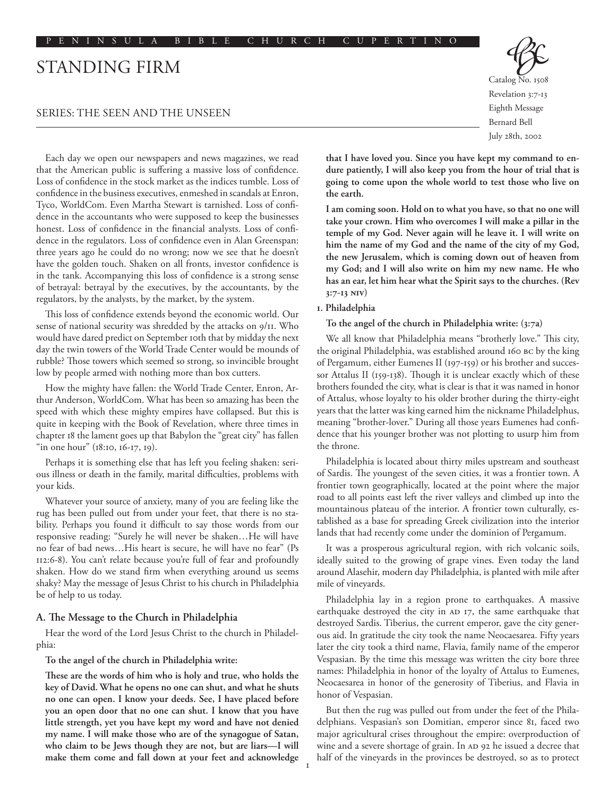# Standing Firm

## Series: The Seen and the Unseen

Each day we open our newspapers and news magazines, we read that the American public is suffering a massive loss of confidence. Loss of confidence in the stock market as the indices tumble. Loss of confidence in the business executives, enmeshed in scandals at Enron, Tyco, WorldCom. Even Martha Stewart is tarnished. Loss of confidence in the accountants who were supposed to keep the businesses honest. Loss of confidence in the financial analysts. Loss of confidence in the regulators. Loss of confidence even in Alan Greenspan: three years ago he could do no wrong; now we see that he doesn't have the golden touch. Shaken on all fronts, investor confidence is in the tank. Accompanying this loss of confidence is a strong sense of betrayal: betrayal by the executives, by the accountants, by the regulators, by the analysts, by the market, by the system.

This loss of confidence extends beyond the economic world. Our sense of national security was shredded by the attacks on 9/11. Who would have dared predict on September 10th that by midday the next day the twin towers of the World Trade Center would be mounds of rubble? Those towers which seemed so strong, so invincible brought low by people armed with nothing more than box cutters.

How the mighty have fallen: the World Trade Center, Enron, Arthur Anderson, WorldCom. What has been so amazing has been the speed with which these mighty empires have collapsed. But this is quite in keeping with the Book of Revelation, where three times in chapter 18 the lament goes up that Babylon the "great city" has fallen "in one hour" (18:10, 16-17, 19).

Perhaps it is something else that has left you feeling shaken: serious illness or death in the family, marital difficulties, problems with your kids.

Whatever your source of anxiety, many of you are feeling like the rug has been pulled out from under your feet, that there is no stability. Perhaps you found it difficult to say those words from our responsive reading: "Surely he will never be shaken…He will have no fear of bad news…His heart is secure, he will have no fear" (Ps 112:6-8). You can't relate because you're full of fear and profoundly shaken. How do we stand firm when everything around us seems shaky? May the message of Jesus Christ to his church in Philadelphia be of help to us today.

#### **A. The Message to the Church in Philadelphia**

Hear the word of the Lord Jesus Christ to the church in Philadelphia:

**To the angel of the church in Philadelphia write:**

**These are the words of him who is holy and true, who holds the key of David. What he opens no one can shut, and what he shuts no one can open. I know your deeds. See, I have placed before you an open door that no one can shut. I know that you have little strength, yet you have kept my word and have not denied my name. I will make those who are of the synagogue of Satan, who claim to be Jews though they are not, but are liars—I will make them come and fall down at your feet and acknowledge** 

Catalog No. 1508 Revelation 3:7-13 Eighth Message Bernard Bell July 28th, 2002

**that I have loved you. Since you have kept my command to endure patiently, I will also keep you from the hour of trial that is going to come upon the whole world to test those who live on the earth.** 

**I am coming soon. Hold on to what you have, so that no one will take your crown. Him who overcomes I will make a pillar in the temple of my God. Never again will he leave it. I will write on him the name of my God and the name of the city of my God, the new Jerusalem, which is coming down out of heaven from my God; and I will also write on him my new name. He who has an ear, let him hear what the Spirit says to the churches. (Rev 3:7-13 NIV)**

#### **1. Philadelphia**

**To the angel of the church in Philadelphia write: (3:7a)**

We all know that Philadelphia means "brotherly love." This city, the original Philadelphia, was established around 160 BC by the king of Pergamum, either Eumenes II (197-159) or his brother and successor Attalus II (159-138). Though it is unclear exactly which of these brothers founded the city, what is clear is that it was named in honor of Attalus, whose loyalty to his older brother during the thirty-eight years that the latter was king earned him the nickname Philadelphus, meaning "brother-lover." During all those years Eumenes had confidence that his younger brother was not plotting to usurp him from the throne.

Philadelphia is located about thirty miles upstream and southeast of Sardis. The youngest of the seven cities, it was a frontier town. A frontier town geographically, located at the point where the major road to all points east left the river valleys and climbed up into the mountainous plateau of the interior. A frontier town culturally, established as a base for spreading Greek civilization into the interior lands that had recently come under the dominion of Pergamum.

It was a prosperous agricultural region, with rich volcanic soils, ideally suited to the growing of grape vines. Even today the land around Alasehir, modern day Philadelphia, is planted with mile after mile of vineyards.

Philadelphia lay in a region prone to earthquakes. A massive earthquake destroyed the city in AD 17, the same earthquake that destroyed Sardis. Tiberius, the current emperor, gave the city generous aid. In gratitude the city took the name Neocaesarea. Fifty years later the city took a third name, Flavia, family name of the emperor Vespasian. By the time this message was written the city bore three names: Philadelphia in honor of the loyalty of Attalus to Eumenes, Neocaesarea in honor of the generosity of Tiberius, and Flavia in honor of Vespasian.

But then the rug was pulled out from under the feet of the Philadelphians. Vespasian's son Domitian, emperor since 81, faced two major agricultural crises throughout the empire: overproduction of wine and a severe shortage of grain. In AD 92 he issued a decree that half of the vineyards in the provinces be destroyed, so as to protect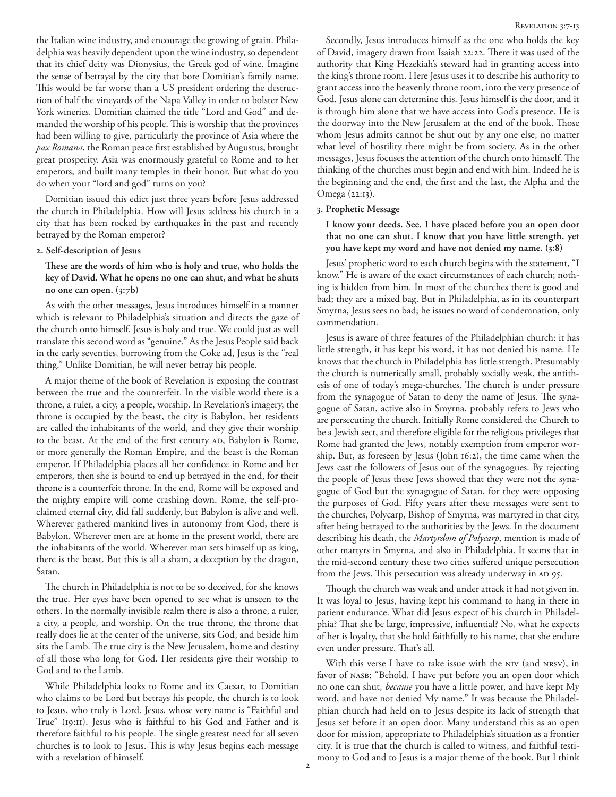the Italian wine industry, and encourage the growing of grain. Philadelphia was heavily dependent upon the wine industry, so dependent that its chief deity was Dionysius, the Greek god of wine. Imagine the sense of betrayal by the city that bore Domitian's family name. This would be far worse than a US president ordering the destruction of half the vineyards of the Napa Valley in order to bolster New York wineries. Domitian claimed the title "Lord and God" and demanded the worship of his people. This is worship that the provinces had been willing to give, particularly the province of Asia where the *pax Romana*, the Roman peace first established by Augustus, brought great prosperity. Asia was enormously grateful to Rome and to her emperors, and built many temples in their honor. But what do you do when your "lord and god" turns on you?

Domitian issued this edict just three years before Jesus addressed the church in Philadelphia. How will Jesus address his church in a city that has been rocked by earthquakes in the past and recently betrayed by the Roman emperor?

## **2. Self-description of Jesus**

**These are the words of him who is holy and true, who holds the key of David. What he opens no one can shut, and what he shuts no one can open. (3:7b)**

As with the other messages, Jesus introduces himself in a manner which is relevant to Philadelphia's situation and directs the gaze of the church onto himself. Jesus is holy and true. We could just as well translate this second word as "genuine." As the Jesus People said back in the early seventies, borrowing from the Coke ad, Jesus is the "real thing." Unlike Domitian, he will never betray his people.

A major theme of the book of Revelation is exposing the contrast between the true and the counterfeit. In the visible world there is a throne, a ruler, a city, a people, worship. In Revelation's imagery, the throne is occupied by the beast, the city is Babylon, her residents are called the inhabitants of the world, and they give their worship to the beast. At the end of the first century AD, Babylon is Rome, or more generally the Roman Empire, and the beast is the Roman emperor. If Philadelphia places all her confidence in Rome and her emperors, then she is bound to end up betrayed in the end, for their throne is a counterfeit throne. In the end, Rome will be exposed and the mighty empire will come crashing down. Rome, the self-proclaimed eternal city, did fall suddenly, but Babylon is alive and well. Wherever gathered mankind lives in autonomy from God, there is Babylon. Wherever men are at home in the present world, there are the inhabitants of the world. Wherever man sets himself up as king, there is the beast. But this is all a sham, a deception by the dragon, Satan.

The church in Philadelphia is not to be so deceived, for she knows the true. Her eyes have been opened to see what is unseen to the others. In the normally invisible realm there is also a throne, a ruler, a city, a people, and worship. On the true throne, the throne that really does lie at the center of the universe, sits God, and beside him sits the Lamb. The true city is the New Jerusalem, home and destiny of all those who long for God. Her residents give their worship to God and to the Lamb.

While Philadelphia looks to Rome and its Caesar, to Domitian who claims to be Lord but betrays his people, the church is to look to Jesus, who truly is Lord. Jesus, whose very name is "Faithful and True" (19:11). Jesus who is faithful to his God and Father and is therefore faithful to his people. The single greatest need for all seven churches is to look to Jesus. This is why Jesus begins each message with a revelation of himself.

Secondly, Jesus introduces himself as the one who holds the key of David, imagery drawn from Isaiah 22:22. There it was used of the authority that King Hezekiah's steward had in granting access into the king's throne room. Here Jesus uses it to describe his authority to grant access into the heavenly throne room, into the very presence of God. Jesus alone can determine this. Jesus himself is the door, and it is through him alone that we have access into God's presence. He is the doorway into the New Jerusalem at the end of the book. Those whom Jesus admits cannot be shut out by any one else, no matter what level of hostility there might be from society. As in the other messages, Jesus focuses the attention of the church onto himself. The thinking of the churches must begin and end with him. Indeed he is the beginning and the end, the first and the last, the Alpha and the Omega (22:13).

## **3. Prophetic Message**

**I know your deeds. See, I have placed before you an open door that no one can shut. I know that you have little strength, yet you have kept my word and have not denied my name. (3:8)**

Jesus' prophetic word to each church begins with the statement, "I know." He is aware of the exact circumstances of each church; nothing is hidden from him. In most of the churches there is good and bad; they are a mixed bag. But in Philadelphia, as in its counterpart Smyrna, Jesus sees no bad; he issues no word of condemnation, only commendation.

Jesus is aware of three features of the Philadelphian church: it has little strength, it has kept his word, it has not denied his name. He knows that the church in Philadelphia has little strength. Presumably the church is numerically small, probably socially weak, the antithesis of one of today's mega-churches. The church is under pressure from the synagogue of Satan to deny the name of Jesus. The synagogue of Satan, active also in Smyrna, probably refers to Jews who are persecuting the church. Initially Rome considered the Church to be a Jewish sect, and therefore eligible for the religious privileges that Rome had granted the Jews, notably exemption from emperor worship. But, as foreseen by Jesus (John 16:2), the time came when the Jews cast the followers of Jesus out of the synagogues. By rejecting the people of Jesus these Jews showed that they were not the synagogue of God but the synagogue of Satan, for they were opposing the purposes of God. Fifty years after these messages were sent to the churches, Polycarp, Bishop of Smyrna, was martyred in that city, after being betrayed to the authorities by the Jews. In the document describing his death, the *Martyrdom of Polycarp*, mention is made of other martyrs in Smyrna, and also in Philadelphia. It seems that in the mid-second century these two cities suffered unique persecution from the Jews. This persecution was already underway in AD 95.

Though the church was weak and under attack it had not given in. It was loyal to Jesus, having kept his command to hang in there in patient endurance. What did Jesus expect of his church in Philadelphia? That she be large, impressive, influential? No, what he expects of her is loyalty, that she hold faithfully to his name, that she endure even under pressure. That's all.

With this verse I have to take issue with the NIV (and NRSV), in favor of NASB: "Behold, I have put before you an open door which no one can shut, *because* you have a little power, and have kept My word, and have not denied My name." It was because the Philadelphian church had held on to Jesus despite its lack of strength that Jesus set before it an open door. Many understand this as an open door for mission, appropriate to Philadelphia's situation as a frontier city. It is true that the church is called to witness, and faithful testimony to God and to Jesus is a major theme of the book. But I think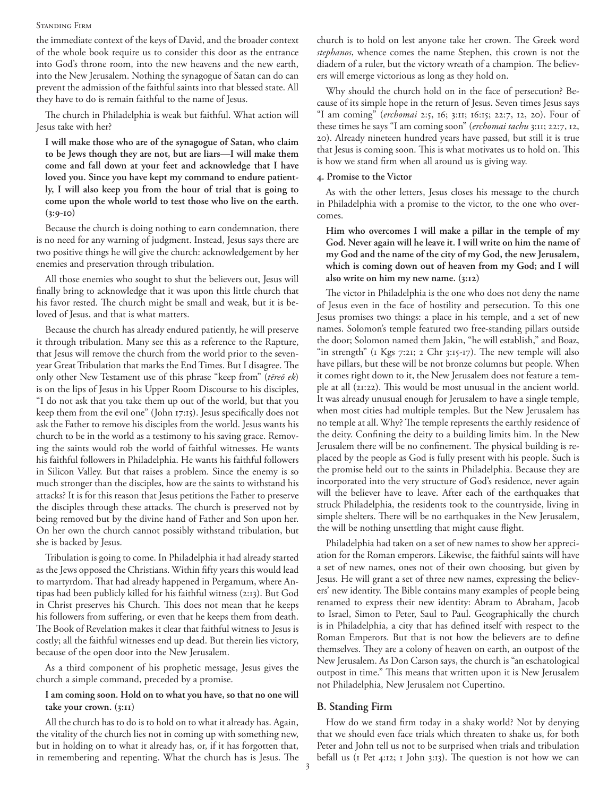#### Standing Firm

the immediate context of the keys of David, and the broader context of the whole book require us to consider this door as the entrance into God's throne room, into the new heavens and the new earth, into the New Jerusalem. Nothing the synagogue of Satan can do can prevent the admission of the faithful saints into that blessed state. All they have to do is remain faithful to the name of Jesus.

The church in Philadelphia is weak but faithful. What action will Jesus take with her?

**I will make those who are of the synagogue of Satan, who claim to be Jews though they are not, but are liars—I will make them come and fall down at your feet and acknowledge that I have loved you. Since you have kept my command to endure patiently, I will also keep you from the hour of trial that is going to come upon the whole world to test those who live on the earth. (3:9-10)**

Because the church is doing nothing to earn condemnation, there is no need for any warning of judgment. Instead, Jesus says there are two positive things he will give the church: acknowledgement by her enemies and preservation through tribulation.

All those enemies who sought to shut the believers out, Jesus will finally bring to acknowledge that it was upon this little church that his favor rested. The church might be small and weak, but it is beloved of Jesus, and that is what matters.

Because the church has already endured patiently, he will preserve it through tribulation. Many see this as a reference to the Rapture, that Jesus will remove the church from the world prior to the sevenyear Great Tribulation that marks the End Times. But I disagree. The only other New Testament use of this phrase "keep from" (*tēreō ek*) is on the lips of Jesus in his Upper Room Discourse to his disciples, "I do not ask that you take them up out of the world, but that you keep them from the evil one" (John 17:15). Jesus specifically does not ask the Father to remove his disciples from the world. Jesus wants his church to be in the world as a testimony to his saving grace. Removing the saints would rob the world of faithful witnesses. He wants his faithful followers in Philadelphia. He wants his faithful followers in Silicon Valley. But that raises a problem. Since the enemy is so much stronger than the disciples, how are the saints to withstand his attacks? It is for this reason that Jesus petitions the Father to preserve the disciples through these attacks. The church is preserved not by being removed but by the divine hand of Father and Son upon her. On her own the church cannot possibly withstand tribulation, but she is backed by Jesus.

Tribulation is going to come. In Philadelphia it had already started as the Jews opposed the Christians. Within fifty years this would lead to martyrdom. That had already happened in Pergamum, where Antipas had been publicly killed for his faithful witness (2:13). But God in Christ preserves his Church. This does not mean that he keeps his followers from suffering, or even that he keeps them from death. The Book of Revelation makes it clear that faithful witness to Jesus is costly; all the faithful witnesses end up dead. But therein lies victory, because of the open door into the New Jerusalem.

As a third component of his prophetic message, Jesus gives the church a simple command, preceded by a promise.

## **I am coming soon. Hold on to what you have, so that no one will take your crown. (3:11)**

All the church has to do is to hold on to what it already has. Again, the vitality of the church lies not in coming up with something new, but in holding on to what it already has, or, if it has forgotten that, in remembering and repenting. What the church has is Jesus. The church is to hold on lest anyone take her crown. The Greek word *stephanos*, whence comes the name Stephen, this crown is not the diadem of a ruler, but the victory wreath of a champion. The believers will emerge victorious as long as they hold on.

Why should the church hold on in the face of persecution? Because of its simple hope in the return of Jesus. Seven times Jesus says "I am coming" (*erchomai* 2:5, 16; 3:11; 16:15; 22:7, 12, 20). Four of these times he says "I am coming soon" (*erchomai tachu* 3:11; 22:7, 12, 20). Already nineteen hundred years have passed, but still it is true that Jesus is coming soon. This is what motivates us to hold on. This is how we stand firm when all around us is giving way.

## **4. Promise to the Victor**

As with the other letters, Jesus closes his message to the church in Philadelphia with a promise to the victor, to the one who overcomes.

**Him who overcomes I will make a pillar in the temple of my God. Never again will he leave it. I will write on him the name of my God and the name of the city of my God, the new Jerusalem, which is coming down out of heaven from my God; and I will also write on him my new name. (3:12)**

The victor in Philadelphia is the one who does not deny the name of Jesus even in the face of hostility and persecution. To this one Jesus promises two things: a place in his temple, and a set of new names. Solomon's temple featured two free-standing pillars outside the door; Solomon named them Jakin, "he will establish," and Boaz, "in strength" (1 Kgs 7:21; 2 Chr 3:15-17). The new temple will also have pillars, but these will be not bronze columns but people. When it comes right down to it, the New Jerusalem does not feature a temple at all (21:22). This would be most unusual in the ancient world. It was already unusual enough for Jerusalem to have a single temple, when most cities had multiple temples. But the New Jerusalem has no temple at all. Why? The temple represents the earthly residence of the deity. Confining the deity to a building limits him. In the New Jerusalem there will be no confinement. The physical building is replaced by the people as God is fully present with his people. Such is the promise held out to the saints in Philadelphia. Because they are incorporated into the very structure of God's residence, never again will the believer have to leave. After each of the earthquakes that struck Philadelphia, the residents took to the countryside, living in simple shelters. There will be no earthquakes in the New Jerusalem, the will be nothing unsettling that might cause flight.

Philadelphia had taken on a set of new names to show her appreciation for the Roman emperors. Likewise, the faithful saints will have a set of new names, ones not of their own choosing, but given by Jesus. He will grant a set of three new names, expressing the believers' new identity. The Bible contains many examples of people being renamed to express their new identity: Abram to Abraham, Jacob to Israel, Simon to Peter, Saul to Paul. Geographically the church is in Philadelphia, a city that has defined itself with respect to the Roman Emperors. But that is not how the believers are to define themselves. They are a colony of heaven on earth, an outpost of the New Jerusalem. As Don Carson says, the church is "an eschatological outpost in time." This means that written upon it is New Jerusalem not Philadelphia, New Jerusalem not Cupertino.

## **B. Standing Firm**

How do we stand firm today in a shaky world? Not by denying that we should even face trials which threaten to shake us, for both Peter and John tell us not to be surprised when trials and tribulation befall us (1 Pet 4:12; 1 John 3:13). The question is not how we can